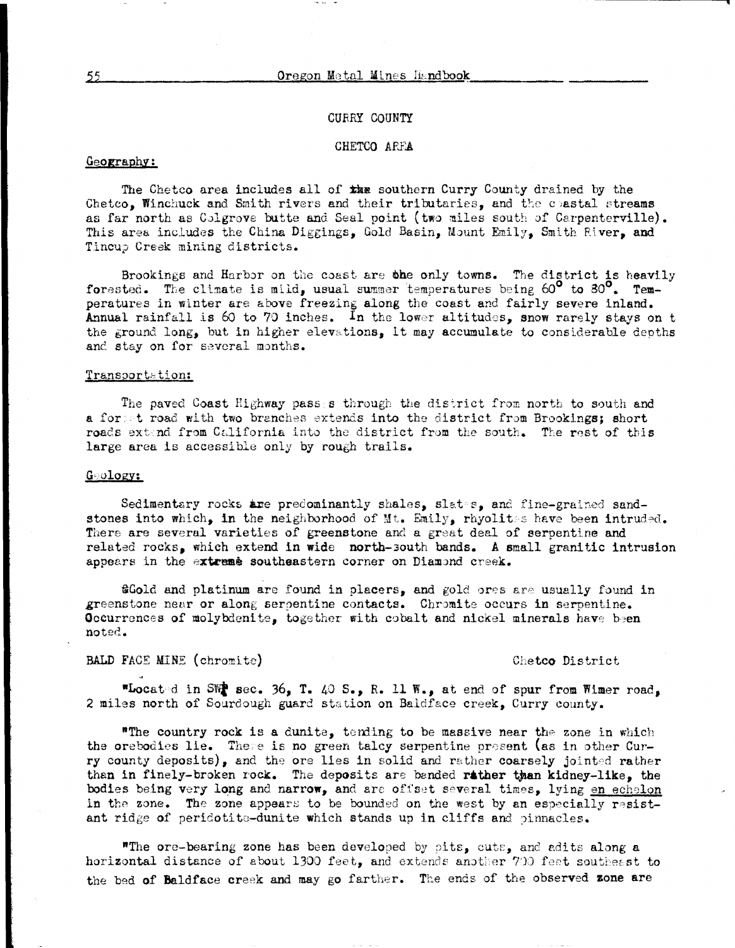### **CURRY COUNTY**

### CHETCO ARFA

# Geography:

The Chetco area includes all of the southern Curry County drained by the Chetco. Winchuck and Smith rivers and their tributaries, and the coastal streams as far north as Colgrove butte and Seal point (two miles south of Carpenterville). This area includes the China Diggings, Gold Basin, Mount Emily, Smith River, and Tincup Creek mining districts.

Brookings and Harbor on the coast are the only towns. The district is heavily forested. The climate is mild, usual summer temperatures being  $60^{\circ}$  to  $30^{\circ}$ . Temperatures in winter are above freezing along the coast and fairly severe inland. Annual rainfall is 60 to 70 inches. In the lower altitudes, snow rarely stays on t the ground long, but in higher elevations, it may accumulate to considerable depths and stay on for several months.

### Transportation:

The paved Coast Highway pass s through the district from north to south and a form t road with two branches extends into the district from Brookings; short roads extend from California into the district from the south. The rest of this large area is accessible only by rough trails.

#### Gology:

Sedimentary rocks are predominantly shales, slates, and fine-grained sandstones into which, in the neighborhood of Mt. Emily, rhyolitss have been intruded. There are several varieties of greenstone and a great deal of serpentine and related rocks, which extend in wide north-south bands. A small granitic intrusion appears in the extreme southeastern corner on Diamond creek.

**@Gold** and platinum are found in placers, and gold ores are usually found in greenstone near or along serpentine contacts. Chromite occurs in serpentine. Occurrences of molybdenite, together with cobalt and nickel minerals have been noted.

## BALD FACE MINE (chromite)

#### Chetco District

"Located in SW sec. 36, T. 40 S., R. 11 W., at end of spur from Wimer road, 2 miles north of Sourdough guard station on Baldface creek, Curry county.

"The country rock is a dunite, tending to be massive near the zone in which the orebodies lie. There is no green talcy serpentine present (as in other Curry county deposits), and the ore lies in solid and rather coarsely jointed rather than in finaly-broken rock. The deposits are banded rather than kidney-like, the bodies being very long and narrow, and are offset several times, lying en echelon in the zone. The zone appears to be bounded on the west by an especially resistant ridge of peridotite-dunite which stands up in cliffs and pinnacles.

"The ore-bearing zone has been developed by pits, cuts, and adits along a horizontal distance of about 1300 feet, and extends another 700 feet southeast to the bed of Baldface creek and may go farther. The ends of the observed zone are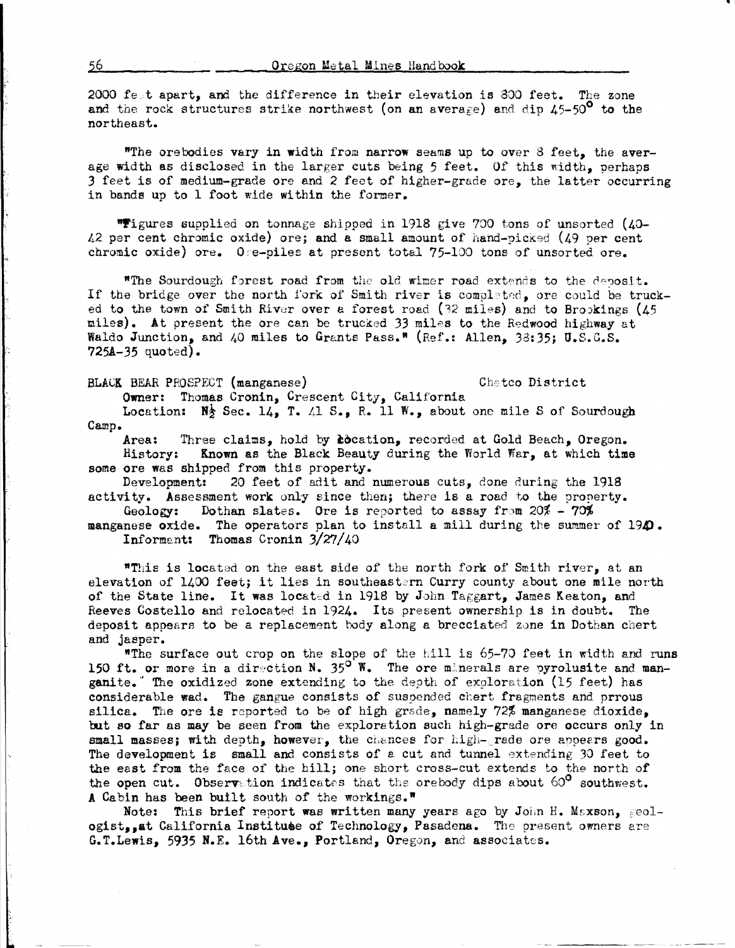2000 fest apart, and the difference in their elevation is 800 feet. The zone and the rock structures strike northwest (on an average) and dip  $45-50^{\circ}$  to the northeast.

"The orebodies vary in width from narrow seams up to over 8 feet, the average width as disclosed in the larger cuts being 5 feet. Of this width, perhaps 3 feet is of medium-grade ore and 2 feet of higher-grade ore, the latter occurring in bands up to l foot wide within the former.

"Figures supplied on tonnage shipped in 1918 give 700 tons of unsorted (40-L2 per cent chromic oxide) ore; and a small amount of hand-picked (19 per cent chromic oxide) ore. Ore-piles at present total 75-100 tons of unsorted ore.

"The Sourdough forest road from the old wimer road extends to the deposit. If the bridge over the north fork of Smith river is completed, ore could be trucked to the town of Smith River over a forest road (32 miles) and to Brookings (45 miles). At present the ore can be trucked 33 miles to the Redwood highway at Waldo Junction, and  $\sqrt{40}$  miles to Grants Pass.<sup>\*</sup> (Ref.: Allen, 38:35; U.S.G.S. **725A-35** quoted).

**BLACK BEAR PROSPECT (manganese) Chetco District** 

**Owner:** Thomas Cronin, Crescent City, California

Location: N<sub>2</sub> Sec. 14, T. 41 S., R. 11 W., about one mile S of Sourdough Camp.

Area: Three claims, hold by *cocation*, recorded at Gold Beach, Oregon. History: **Known** as the Black Beauty during the World Wsr, at which time some ore was shipped from this property.

Development: 20 feet of adit and numerous cuts, done during the 1918 activity. Assessment work only since then; there is a road to the property.<br>Geology: Dothan slates. Ore is reported to assay from  $20\% - 70\%$ 

Dothan slates. Ore is reported to assay from 20% - 70%

manganese oxide. The operators plan to install a mill during the summer of 194). Informent: Thomas Cronin 3/27/40

"This is located on the east side of the north fork of Smith river, at an elevation of 1400 feet; it lies in southeastern Curry county about one mile north of the State line. It was located in 1918 by John Taggart, James Keaton, and Reeves Costello and relocated in 1924. Its present ownership is in doubt. The deposit appears to be a replacement body along a brecciated z0ne **in** Dothan chert and jasper.

"The surface out crop on the slope of the hill is  $65-70$  feet in width and runs 150 ft. or more in a direction N.  $35^{\circ}$  W. The ore minerals are pyrolusite and manganite." The oxidized zone extending to the depth of exploration (15 feet) has considerable wad. The gangue consists of suspended chert fragments and prrous silica. The ore is reported to be of high grade, namely 72% manganese dioxide, but so far as may be seen from the exploration such high-grade ore occurs only in small masses; with depth, however, the chances for high-grade ore appears good. The development is small and consists of a cut and tunnel extending 30 feet to the east from the face of the hill; one short cross-cut extends to the north of the open cut. Observation indicates that the orebody dips about  $60^{\circ}$  southwest. A Cabin has been built south of the workings."

Note: This brief report was written many years ago by John H. Maxson, geologist..at California Institute of Technology, Pasadena. The present owners are G.T.Lewis, 5935 N.E. 16th Ave., Portland, Oregon, and associates.